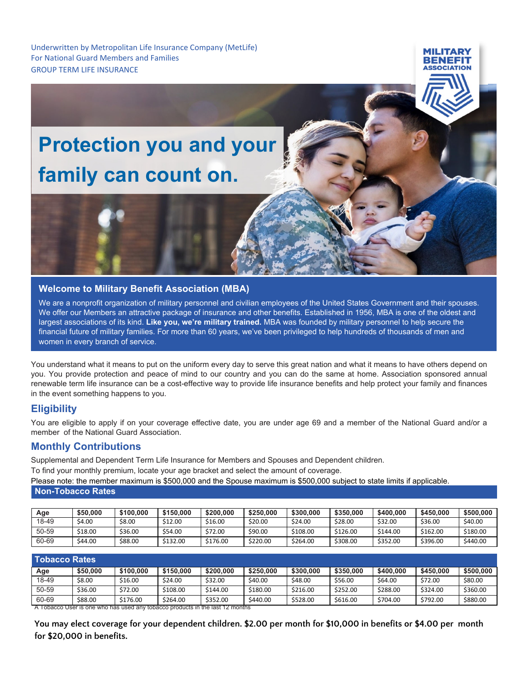Underwritten by Metropolitan Life Insurance Company (MetLife) For National Guard Members and Families GROUP TERM LIFE INSURANCE

# **Protection you and your family can count on.**

## **Welcome to Military Benefit Association (MBA)**

We are a nonprofit organization of military personnel and civilian employees of the United States Government and their spouses. We offer our Members an attractive package of insurance and other benefits. Established in 1956, MBA is one of the oldest and largest associations of its kind. **Like you, we're military trained.** MBA was founded by military personnel to help secure the financial future of military families. For more than 60 years, we've been privileged to help hundreds of thousands of men and women in every branch of service.

MII ITAD

You understand what it means to put on the uniform every day to serve this great nation and what it means to have others depend on you. You provide protection and peace of mind to our country and you can do the same at home. Association sponsored annual renewable term life insurance can be a cost-effective way to provide life insurance benefits and help protect your family and finances in the event something happens to you.

# **Eligibility**

You are eligible to apply if on your coverage effective date, you are under age 69 and a member of the National Guard and/or a member of the National Guard Association.

## **Monthly Contributions**

Supplemental and Dependent Term Life Insurance for Members and Spouses and Dependent children.

To find your monthly premium, locate your age bracket and select the amount of coverage.

Please note: the member maximum is \$500,000 and the Spouse maximum is \$500,000 subject to state limits if applicable. **Non-Tobacco Rates**

| Age   | \$50,000 | \$100.000 | \$150,000 | \$200,000 | \$250,000 | \$300,000 | \$350,000 | \$400,000 | \$450,000 | \$500,000 |
|-------|----------|-----------|-----------|-----------|-----------|-----------|-----------|-----------|-----------|-----------|
| 18-49 | \$4.00   | \$8.00    | \$12.00   | \$16.00   | \$20.00   | \$24.00   | \$28.00   | \$32.00   | \$36.00   | \$40.00   |
| 50-59 | \$18.00  | \$36.00   | \$54.00   | \$72.00   | \$90.00   | \$108.00  | \$126.00  | \$144.00  | \$162.00  | \$180.00  |
| 60-69 | \$44.00  | \$88.00   | \$132.00  | \$176.00  | \$220.00  | \$264.00  | \$308.00  | \$352.00  | \$396.00  | \$440.00  |

| <b>Tobacco Rates</b>                                                          |          |           |           |           |           |           |           |           |           |           |  |
|-------------------------------------------------------------------------------|----------|-----------|-----------|-----------|-----------|-----------|-----------|-----------|-----------|-----------|--|
| Age                                                                           | \$50,000 | \$100,000 | \$150,000 | \$200,000 | \$250,000 | \$300,000 | \$350,000 | \$400,000 | \$450,000 | \$500,000 |  |
| 18-49                                                                         | \$8.00   | \$16.00   | \$24.00   | \$32.00   | \$40.00   | \$48.00   | \$56.00   | \$64.00   | \$72.00   | \$80.00   |  |
| 50-59                                                                         | \$36.00  | \$72.00   | \$108.00  | \$144.00  | \$180.00  | \$216.00  | \$252.00  | \$288.00  | \$324.00  | \$360.00  |  |
| 60-69                                                                         | \$88.00  | \$176.00  | \$264.00  | \$352.00  | \$440.00  | \$528.00  | \$616.00  | \$704.00  | \$792.00  | \$880.00  |  |
| A Tobacco User is one who has used any tobacco products in the last 12 months |          |           |           |           |           |           |           |           |           |           |  |

**You may elect coverage for your dependent children. \$2.00 per month for \$10,000 in benefits or \$4.00 per month for \$20,000 in benefits.**